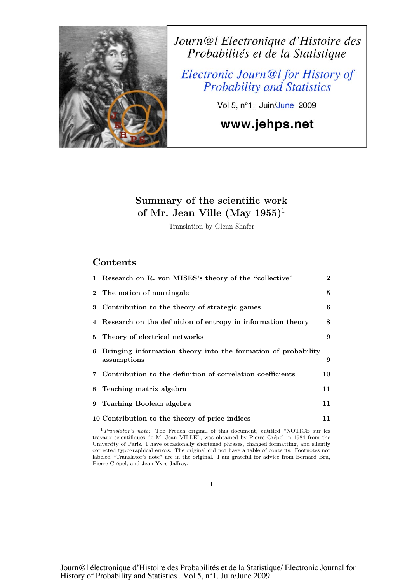

Journ@l Electronique d'Histoire des Probabilités et de la Statistique

Electronic Journ@l for History of **Probability and Statistics** 

Vol 5, n°1; Juin/June 2009

# www.jehps.net

# Summary of the scientific work of Mr. Jean Ville (May  $1955$ )<sup>1</sup>

Translation by Glenn Shafer

# Contents

|    | 1 Research on R. von MISES's theory of the "collective"                        | $\overline{2}$ |
|----|--------------------------------------------------------------------------------|----------------|
|    | 2 The notion of martingale                                                     | 5              |
|    | 3 Contribution to the theory of strategic games                                | 6              |
|    | 4 Research on the definition of entropy in information theory                  | 8              |
| 5. | Theory of electrical networks                                                  | 9              |
|    | 6 Bringing information theory into the formation of probability<br>assumptions | 9              |
|    | 7 Contribution to the definition of correlation coefficients                   | 10             |
|    | 8 Teaching matrix algebra                                                      | 11             |
| 9  | Teaching Boolean algebra                                                       | 11             |
|    | 10 Contribution to the theory of price indices                                 | 11             |

<sup>&</sup>lt;sup>1</sup>Translator's note: The French original of this document, entitled "NOTICE sur les travaux scientifiques de M. Jean VILLE", was obtained by Pierre Crépel in 1984 from the University of Paris. I have occasionally shortened phrases, changed formatting, and silently corrected typographical errors. The original did not have a table of contents. Footnotes not labeled "Translator's note" are in the original. I am grateful for advice from Bernard Bru, Pierre Crépel, and Jean-Yves Jaffray.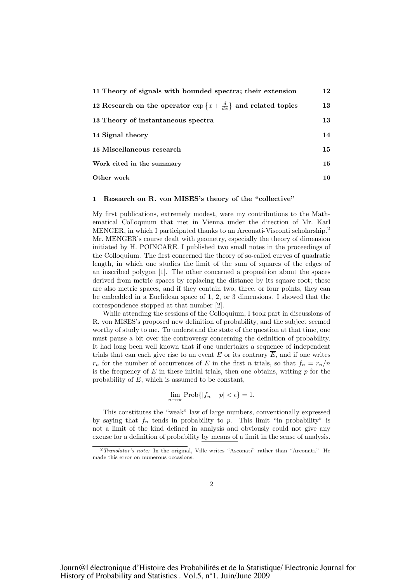| 11 Theory of signals with bounded spectra; their extension                         | 12 |
|------------------------------------------------------------------------------------|----|
| 12 Research on the operator $\exp\left\{x+\frac{d}{dx}\right\}$ and related topics | 13 |
| 13 Theory of instantaneous spectra                                                 | 13 |
| 14 Signal theory                                                                   | 14 |
| 15 Miscellaneous research                                                          | 15 |
| Work cited in the summary                                                          | 15 |
| Other work                                                                         | 16 |

#### 1 Research on R. von MISES's theory of the "collective"

My first publications, extremely modest, were my contributions to the Mathematical Colloquium that met in Vienna under the direction of Mr. Karl MENGER, in which I participated thanks to an Arconati-Visconti scholarship.<sup>2</sup> Mr. MENGER's course dealt with geometry, especially the theory of dimension initiated by H. POINCARE. I published two small notes in the proceedings of the Colloquium. The first concerned the theory of so-called curves of quadratic length, in which one studies the limit of the sum of squares of the edges of an inscribed polygon [1]. The other concerned a proposition about the spaces derived from metric spaces by replacing the distance by its square root; these are also metric spaces, and if they contain two, three, or four points, they can be embedded in a Euclidean space of 1, 2, or 3 dimensions. I showed that the correspondence stopped at that number [2].

While attending the sessions of the Colloquium, I took part in discussions of R. von MISES's proposed new definition of probability, and the subject seemed worthy of study to me. To understand the state of the question at that time, one must pause a bit over the controversy concerning the definition of probability. It had long been well known that if one undertakes a sequence of independent trials that can each give rise to an event E or its contrary  $\overline{E}$ , and if one writes  $r_n$  for the number of occurrences of E in the first n trials, so that  $f_n = r_n/n$ is the frequency of  $E$  in these initial trials, then one obtains, writing  $p$  for the probability of  $E$ , which is assumed to be constant,

$$
\lim_{n \to \infty} \text{Prob}\{|f_n - p| < \epsilon\} = 1.
$$

This constitutes the "weak" law of large numbers, conventionally expressed by saying that  $f_n$  tends in probability to p. This limit "in probability" is not a limit of the kind defined in analysis and obviously could not give any excuse for a definition of probability by means of a limit in the sense of analysis.

 $2$ Translator's note: In the original, Ville writes "Asconati" rather than "Arconati." He made this error on numerous occasions.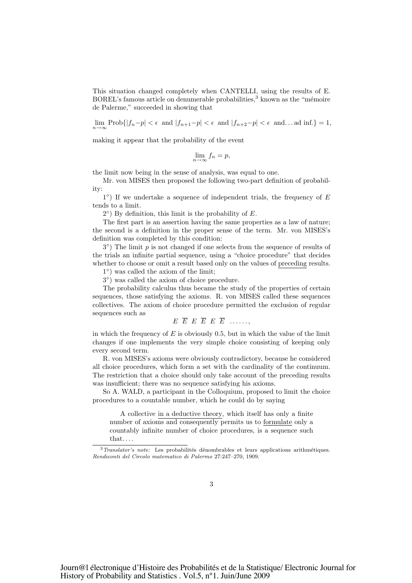This situation changed completely when CANTELLI, using the results of E.  $BOREL's$  famous article on denumerable probabilities,<sup>3</sup> known as the "mémoire de Palerme," succeeded in showing that

 $\lim_{n\to\infty}\text{Prob}\{|f_n-p|<\epsilon\ \text{ and } |f_{n+1}-p|<\epsilon\ \text{ and } |f_{n+2}-p|<\epsilon\ \text{ and }... \text{ ad inf.}\}=1,$ 

making it appear that the probability of the event

$$
\lim_{n \to \infty} f_n = p,
$$

the limit now being in the sense of analysis, was equal to one.

Mr. von MISES then proposed the following two-part definition of probability:

 $1°$ ) If we undertake a sequence of independent trials, the frequency of E tends to a limit.

 $2^{\circ}$ ) By definition, this limit is the probability of E.

The first part is an assertion having the same properties as a law of nature; the second is a definition in the proper sense of the term. Mr. von MISES's definition was completed by this condition:

 $3°$ ) The limit p is not changed if one selects from the sequence of results of the trials an infinite partial sequence, using a "choice procedure" that decides whether to choose or omit a result based only on the values of preceding results.

1◦) was called the axiom of the limit;

3◦) was called the axiom of choice procedure.

The probability calculus thus became the study of the properties of certain sequences, those satisfying the axioms. R. von MISES called these sequences collectives. The axiom of choice procedure permitted the exclusion of regular sequences such as

```
E \ \overline{E} \ E \ \overline{E} \ E \ \overline{E} \ \ldots \ldots
```
in which the frequency of  $E$  is obviously 0.5, but in which the value of the limit changes if one implements the very simple choice consisting of keeping only every second term.

R. von MISES's axioms were obviously contradictory, because he considered all choice procedures, which form a set with the cardinality of the continuum. The restriction that a choice should only take account of the preceding results was insufficient; there was no sequence satisfying his axioms.

So A. WALD, a participant in the Colloquium, proposed to limit the choice procedures to a countable number, which he could do by saying

A collective in a deductive theory, which itself has only a finite number of axioms and consequently permits us to formulate only a countably infinite number of choice procedures, is a sequence such that. . . .

 $3$ Translator's note: Les probabilités dénombrables et leurs applications arithmétiques. Rendiconti del Circolo matematico di Palermo 27:247–270, 1909.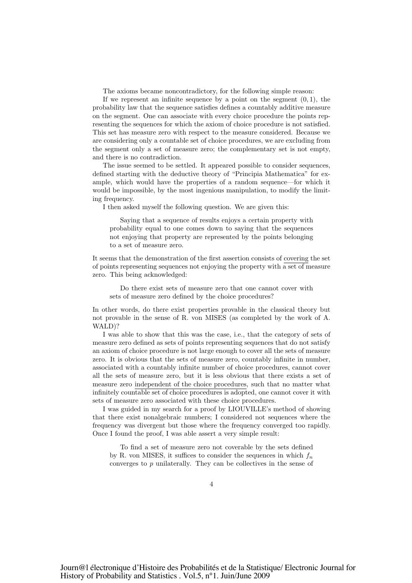The axioms became noncontradictory, for the following simple reason:

If we represent an infinite sequence by a point on the segment  $(0, 1)$ , the probability law that the sequence satisfies defines a countably additive measure on the segment. One can associate with every choice procedure the points representing the sequences for which the axiom of choice procedure is not satisfied. This set has measure zero with respect to the measure considered. Because we are considering only a countable set of choice procedures, we are excluding from the segment only a set of measure zero; the complementary set is not empty, and there is no contradiction.

The issue seemed to be settled. It appeared possible to consider sequences, defined starting with the deductive theory of "Principia Mathematica" for example, which would have the properties of a random sequence—for which it would be impossible, by the most ingenious manipulation, to modify the limiting frequency.

I then asked myself the following question. We are given this:

Saying that a sequence of results enjoys a certain property with probability equal to one comes down to saying that the sequences not enjoying that property are represented by the points belonging to a set of measure zero.

It seems that the demonstration of the first assertion consists of covering the set of points representing sequences not enjoying the property with a set of measure zero. This being acknowledged:

Do there exist sets of measure zero that one cannot cover with sets of measure zero defined by the choice procedures?

In other words, do there exist properties provable in the classical theory but not provable in the sense of R. von MISES (as completed by the work of A. WALD)?

I was able to show that this was the case, i.e., that the category of sets of measure zero defined as sets of points representing sequences that do not satisfy an axiom of choice procedure is not large enough to cover all the sets of measure zero. It is obvious that the sets of measure zero, countably infinite in number, associated with a countably infinite number of choice procedures, cannot cover all the sets of measure zero, but it is less obvious that there exists a set of measure zero independent of the choice procedures, such that no matter what infinitely countable set of choice procedures is adopted, one cannot cover it with sets of measure zero associated with these choice procedures.

I was guided in my search for a proof by LIOUVILLE's method of showing that there exist nonalgebraic numbers; I considered not sequences where the frequency was divergent but those where the frequency converged too rapidly. Once I found the proof, I was able assert a very simple result:

To find a set of measure zero not coverable by the sets defined by R. von MISES, it suffices to consider the sequences in which  $f_n$ converges to p unilaterally. They can be collectives in the sense of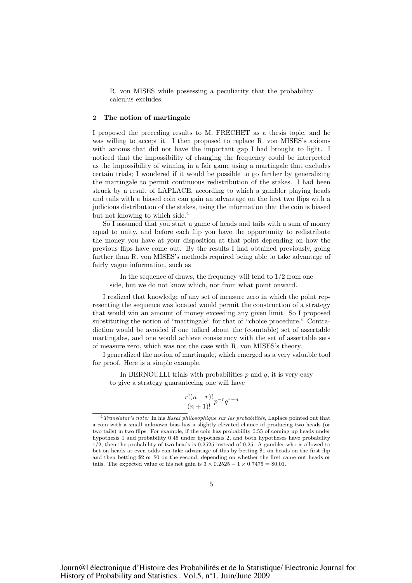R. von MISES while possessing a peculiarity that the probability calculus excludes.

# 2 The notion of martingale

I proposed the preceding results to M. FRECHET as a thesis topic, and he was willing to accept it. I then proposed to replace R. von MISES's axioms with axioms that did not have the important gap I had brought to light. I noticed that the impossibility of changing the frequency could be interpreted as the impossibility of winning in a fair game using a martingale that excludes certain trials; I wondered if it would be possible to go farther by generalizing the martingale to permit continuous redistribution of the stakes. I had been struck by a result of LAPLACE, according to which a gambler playing heads and tails with a biased coin can gain an advantage on the first two flips with a judicious distribution of the stakes, using the information that the coin is biased but not knowing to which side. 4

So I assumed that you start a game of heads and tails with a sum of money equal to unity, and before each flip you have the opportunity to redistribute the money you have at your disposition at that point depending on how the previous flips have come out. By the results I had obtained previously, going farther than R. von MISES's methods required being able to take advantage of fairly vague information, such as

In the sequence of draws, the frequency will tend to 1/2 from one side, but we do not know which, nor from what point onward.

I realized that knowledge of any set of measure zero in which the point representing the sequence was located would permit the construction of a strategy that would win an amount of money exceeding any given limit. So I proposed substituting the notion of "martingale" for that of "choice procedure." Contradiction would be avoided if one talked about the (countable) set of assertable martingales, and one would achieve consistency with the set of assertable sets of measure zero, which was not the case with R. von MISES's theory.

I generalized the notion of martingale, which emerged as a very valuable tool for proof. Here is a simple example.

In BERNOULLI trials with probabilities  $p$  and  $q$ , it is very easy to give a strategy guaranteeing one will have

$$
\frac{r!(n-r)!}{(n+1)!}p^{-r}q^{r-n}
$$

 $4$ Translator's note: In his Essai philosophique sur les probabilités, Laplace pointed out that a coin with a small unknown bias has a slightly elevated chance of producing two heads (or two tails) in two flips. For example, if the coin has probability 0.55 of coming up heads under hypothesis 1 and probability 0.45 under hypothesis 2, and both hypotheses have probability 1/2, then the probability of two heads is 0.2525 instead of 0.25. A gambler who is allowed to bet on heads at even odds can take advantage of this by betting \$1 on heads on the first flip and then betting \$2 or \$0 on the second, depending on whether the first came out heads or tails. The expected value of his net gain is  $3 \times 0.2525 - 1 \times 0.7475 = $0.01$ .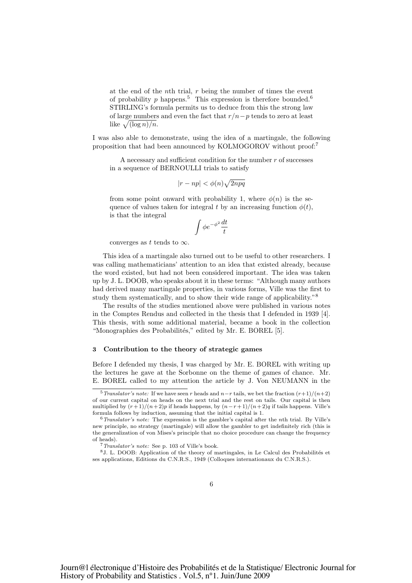at the end of the *n*th trial,  $r$  being the number of times the event of probability p happens.<sup>5</sup> This expression is therefore bounded.<sup>6</sup> STIRLING's formula permits us to deduce from this the strong law of large numbers and even the fact that  $r/n-p$  tends to zero at least like  $\sqrt{(\log n)/n}$ .

I was also able to demonstrate, using the idea of a martingale, the following proposition that had been announced by KOLMOGOROV without proof:<sup>7</sup>

A necessary and sufficient condition for the number r of successes in a sequence of BERNOULLI trials to satisfy

$$
|r-np|<\phi(n)\sqrt{2npq}
$$

from some point onward with probability 1, where  $\phi(n)$  is the sequence of values taken for integral t by an increasing function  $\phi(t)$ , is that the integral

$$
\int \phi e^{-\phi^2} \frac{dt}{t}
$$

converges as t tends to  $\infty$ .

This idea of a martingale also turned out to be useful to other researchers. I was calling mathematicians' attention to an idea that existed already, because the word existed, but had not been considered important. The idea was taken up by J. L. DOOB, who speaks about it in these terms: "Although many authors had derived many martingale properties, in various forms, Ville was the first to study them systematically, and to show their wide range of applicability."<sup>8</sup>

The results of the studies mentioned above were published in various notes in the Comptes Rendus and collected in the thesis that I defended in 1939 [4]. This thesis, with some additional material, became a book in the collection "Monographies des Probabilités," edited by Mr. E. BOREL [5].

#### 3 Contribution to the theory of strategic games

Before I defended my thesis, I was charged by Mr. E. BOREL with writing up the lectures he gave at the Sorbonne on the theme of games of chance. Mr. E. BOREL called to my attention the article by J. Von NEUMANN in the

<sup>&</sup>lt;sup>5</sup>Translator's note: If we have seen r heads and  $n-r$  tails, we bet the fraction  $(r+1)/(n+2)$ of our current capital on heads on the next trial and the rest on tails. Our capital is then multiplied by  $(r+1)/(n+2)p$  if heads happens, by  $(n-r+1)/(n+2)q$  if tails happens. Ville's formula follows by induction, assuming that the initial capital is 1.

 $6$ Translator's note: The expression is the gambler's capital after the nth trial. By Ville's new principle, no strategy (martingale) will allow the gambler to get indefinitely rich (this is the generalization of von Mises's principle that no choice procedure can change the frequency of heads).

<sup>7</sup>Translator's note: See p. 103 of Ville's book.

 $8J.$  L. DOOB: Application of the theory of martingales, in Le Calcul des Probabilités et ses applications, Editions du C.N.R.S., 1949 (Colloques internationaux du C.N.R.S.).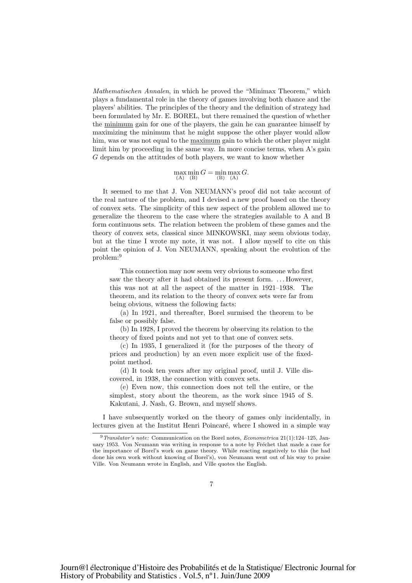Mathematischen Annalen, in which he proved the "Minimax Theorem," which plays a fundamental role in the theory of games involving both chance and the players' abilities. The principles of the theory and the definition of strategy had been formulated by Mr. E. BOREL, but there remained the question of whether the minimum gain for one of the players, the gain he can guarantee himself by maximizing the minimum that he might suppose the other player would allow him, was or was not equal to the maximum gain to which the other player might limit him by proceeding in the same way. In more concise terms, when A's gain G depends on the attitudes of both players, we want to know whether

$$
\max_{\text{(A)}} \min_{\text{(B)}} G = \min_{\text{(B)}} \max_{\text{(A)}} G.
$$

It seemed to me that J. Von NEUMANN's proof did not take account of the real nature of the problem, and I devised a new proof based on the theory of convex sets. The simplicity of this new aspect of the problem allowed me to generalize the theorem to the case where the strategies available to A and B form continuous sets. The relation between the problem of these games and the theory of convex sets, classical since MINKOWSKI, may seem obvious today, but at the time I wrote my note, it was not. I allow myself to cite on this point the opinion of J. Von NEUMANN, speaking about the evolution of the problem:<sup>9</sup>

This connection may now seem very obvious to someone who first saw the theory after it had obtained its present form. . . . However, this was not at all the aspect of the matter in 1921–1938. The theorem, and its relation to the theory of convex sets were far from being obvious, witness the following facts:

(a) In 1921, and thereafter, Borel surmised the theorem to be false or possibly false.

(b) In 1928, I proved the theorem by observing its relation to the theory of fixed points and not yet to that one of convex sets.

(c) In 1935, I generalized it (for the purposes of the theory of prices and production) by an even more explicit use of the fixedpoint method.

(d) It took ten years after my original proof, until J. Ville discovered, in 1938, the connection with convex sets.

(e) Even now, this connection does not tell the entire, or the simplest, story about the theorem, as the work since 1945 of S. Kakutani, J. Nash, G. Brown, and myself shows.

I have subsequently worked on the theory of games only incidentally, in lectures given at the Institut Henri Poincaré, where I showed in a simple way

 $9$  Translator's note: Communication on the Borel notes, *Econometrica* 21(1):124–125, January 1953. Von Neumann was writing in response to a note by Fréchet that made a case for the importance of Borel's work on game theory. While reacting negatively to this (he had done his own work without knowing of Borel's), von Neumann went out of his way to praise Ville. Von Neumann wrote in English, and Ville quotes the English.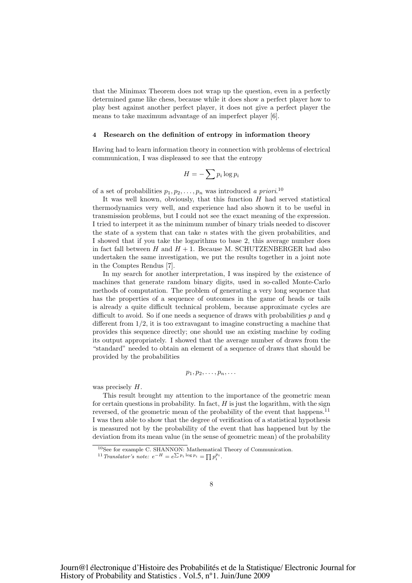that the Minimax Theorem does not wrap up the question, even in a perfectly determined game like chess, because while it does show a perfect player how to play best against another perfect player, it does not give a perfect player the means to take maximum advantage of an imperfect player [6].

## 4 Research on the definition of entropy in information theory

Having had to learn information theory in connection with problems of electrical communication, I was displeased to see that the entropy

$$
H = -\sum p_i \log p_i
$$

of a set of probabilities  $p_1, p_2, \ldots, p_n$  was introduced a priori.<sup>10</sup>

It was well known, obviously, that this function  $H$  had served statistical thermodynamics very well, and experience had also shown it to be useful in transmission problems, but I could not see the exact meaning of the expression. I tried to interpret it as the minimum number of binary trials needed to discover the state of a system that can take  $n$  states with the given probabilities, and I showed that if you take the logarithms to base 2, this average number does in fact fall between  $H$  and  $H + 1$ . Because M. SCHUTZENBERGER had also undertaken the same investigation, we put the results together in a joint note in the Comptes Rendus [7].

In my search for another interpretation, I was inspired by the existence of machines that generate random binary digits, used in so-called Monte-Carlo methods of computation. The problem of generating a very long sequence that has the properties of a sequence of outcomes in the game of heads or tails is already a quite difficult technical problem, because approximate cycles are difficult to avoid. So if one needs a sequence of draws with probabilities  $p$  and  $q$ different from 1/2, it is too extravagant to imagine constructing a machine that provides this sequence directly; one should use an existing machine by coding its output appropriately. I showed that the average number of draws from the "standard" needed to obtain an element of a sequence of draws that should be provided by the probabilities

$$
p_1, p_2, \ldots, p_n, \ldots
$$

was precisely  $H$ .

This result brought my attention to the importance of the geometric mean for certain questions in probability. In fact,  $H$  is just the logarithm, with the sign reversed, of the geometric mean of the probability of the event that happens.<sup>11</sup> I was then able to show that the degree of verification of a statistical hypothesis is measured not by the probability of the event that has happened but by the deviation from its mean value (in the sense of geometric mean) of the probability

<sup>10</sup>See for example C. SHANNON: Mathematical Theory of Communication.

<sup>&</sup>lt;sup>11</sup> Translator's note:  $e^{-H} = e^{\sum p_i \log p_i} = \prod p_i^{p_i}$ .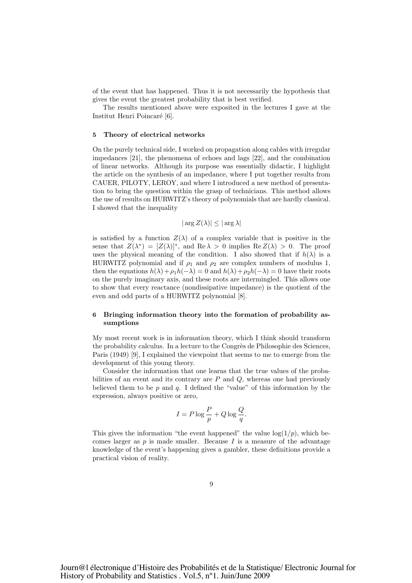of the event that has happened. Thus it is not necessarily the hypothesis that gives the event the greatest probability that is best verified.

The results mentioned above were exposited in the lectures I gave at the Institut Henri Poincaré [6].

## 5 Theory of electrical networks

On the purely technical side, I worked on propagation along cables with irregular impedances [21], the phenomena of echoes and lags [22], and the combination of linear networks. Although its purpose was essentially didactic, I highlight the article on the synthesis of an impedance, where I put together results from CAUER, PILOTY, LEROY, and where I introduced a new method of presentation to bring the question within the grasp of technicians. This method allows the use of results on HURWITZ's theory of polynomials that are hardly classical. I showed that the inequality

# $|\arg Z(\lambda)| \leq |\arg \lambda|$

is satisfied by a function  $Z(\lambda)$  of a complex variable that is positive in the sense that  $Z(\lambda^*) = [Z(\lambda)]^*$ , and  $\text{Re }\lambda > 0$  implies  $\text{Re }Z(\lambda) > 0$ . The proof uses the physical meaning of the condition. I also showed that if  $h(\lambda)$  is a HURWITZ polynomial and if  $\rho_1$  and  $\rho_2$  are complex numbers of modulus 1, then the equations  $h(\lambda)+\rho_1h(-\lambda)=0$  and  $h(\lambda)+\rho_2h(-\lambda)=0$  have their roots on the purely imaginary axis, and these roots are intermingled. This allows one to show that every reactance (nondissipative impedance) is the quotient of the even and odd parts of a HURWITZ polynomial [8].

# 6 Bringing information theory into the formation of probability assumptions

My most recent work is in information theory, which I think should transform the probability calculus. In a lecture to the Congrès de Philosophie des Sciences, Paris (1949) [9], I explained the viewpoint that seems to me to emerge from the development of this young theory.

Consider the information that one learns that the true values of the probabilities of an event and its contrary are  $P$  and  $Q$ , whereas one had previously believed them to be  $p$  and  $q$ . I defined the "value" of this information by the expression, always positive or zero,

$$
I = P \log \frac{P}{p} + Q \log \frac{Q}{q}.
$$

This gives the information "the event happened" the value  $log(1/p)$ , which becomes larger as  $p$  is made smaller. Because  $I$  is a measure of the advantage knowledge of the event's happening gives a gambler, these definitions provide a practical vision of reality.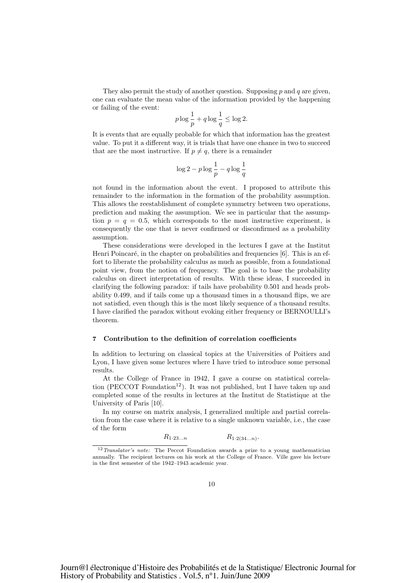They also permit the study of another question. Supposing p and q are given, one can evaluate the mean value of the information provided by the happening or failing of the event:

$$
p \log \frac{1}{p} + q \log \frac{1}{q} \le \log 2.
$$

It is events that are equally probable for which that information has the greatest value. To put it a different way, it is trials that have one chance in two to succeed that are the most instructive. If  $p \neq q$ , there is a remainder

$$
\log 2 - p \log \frac{1}{p} - q \log \frac{1}{q}
$$

not found in the information about the event. I proposed to attribute this remainder to the information in the formation of the probability assumption. This allows the reestablishment of complete symmetry between two operations, prediction and making the assumption. We see in particular that the assumption  $p = q = 0.5$ , which corresponds to the most instructive experiment, is consequently the one that is never confirmed or disconfirmed as a probability assumption.

These considerations were developed in the lectures I gave at the Institut Henri Poincaré, in the chapter on probabilities and frequencies  $[6]$ . This is an effort to liberate the probability calculus as much as possible, from a foundational point view, from the notion of frequency. The goal is to base the probability calculus on direct interpretation of results. With these ideas, I succeeded in clarifying the following paradox: if tails have probability 0.501 and heads probability 0.499, and if tails come up a thousand times in a thousand flips, we are not satisfied, even though this is the most likely sequence of a thousand results. I have clarified the paradox without evoking either frequency or BERNOULLI's theorem.

# 7 Contribution to the definition of correlation coefficients

In addition to lecturing on classical topics at the Universities of Poitiers and Lyon, I have given some lectures where I have tried to introduce some personal results.

At the College of France in 1942, I gave a course on statistical correlation (PECCOT Foundation<sup>12</sup>). It was not published, but I have taken up and completed some of the results in lectures at the Institut de Statistique at the University of Paris [10].

In my course on matrix analysis, I generalized multiple and partial correlation from the case where it is relative to a single unknown variable, i.e., the case of the form

$$
R_{1\cdot 23\ldots n} \qquad R_{1\cdot 2(34\ldots n)}.
$$

<sup>&</sup>lt;sup>12</sup>Translator's note: The Peccot Foundation awards a prize to a young mathematician annually. The recipient lectures on his work at the College of France. Ville gave his lecture in the first semester of the 1942–1943 academic year.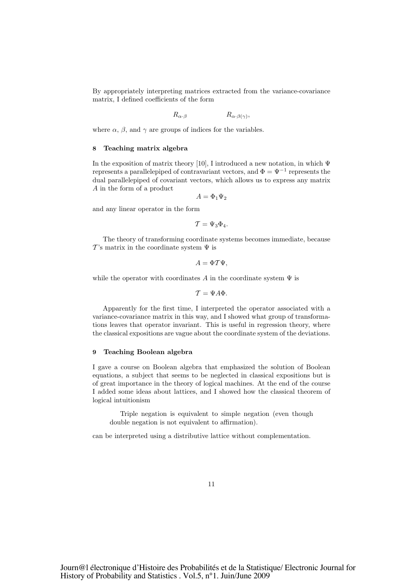By appropriately interpreting matrices extracted from the variance-covariance matrix, I defined coefficients of the form

$$
R_{\alpha\cdot\beta} \qquad R_{\alpha\cdot\beta(\gamma)},
$$

where  $\alpha$ ,  $\beta$ , and  $\gamma$  are groups of indices for the variables.

# 8 Teaching matrix algebra

In the exposition of matrix theory [10], I introduced a new notation, in which  $\Psi$ represents a parallelepiped of contravariant vectors, and  $\Phi = \Psi^{-1}$  represents the dual parallelepiped of covariant vectors, which allows us to express any matrix A in the form of a product

 $A = \Phi_1 \Psi_2$ 

and any linear operator in the form

$$
\mathcal{T}=\Psi_3\Phi_4.
$$

The theory of transforming coordinate systems becomes immediate, because  $\mathcal{T}$ 's matrix in the coordinate system  $\Psi$  is

$$
A=\Phi T\Psi,
$$

while the operator with coordinates A in the coordinate system  $\Psi$  is

$$
\mathcal{T}=\Psi A\Phi.
$$

Apparently for the first time, I interpreted the operator associated with a variance-covariance matrix in this way, and I showed what group of transformations leaves that operator invariant. This is useful in regression theory, where the classical expositions are vague about the coordinate system of the deviations.

### 9 Teaching Boolean algebra

I gave a course on Boolean algebra that emphasized the solution of Boolean equations, a subject that seems to be neglected in classical expositions but is of great importance in the theory of logical machines. At the end of the course I added some ideas about lattices, and I showed how the classical theorem of logical intuitionism

Triple negation is equivalent to simple negation (even though double negation is not equivalent to affirmation).

can be interpreted using a distributive lattice without complementation.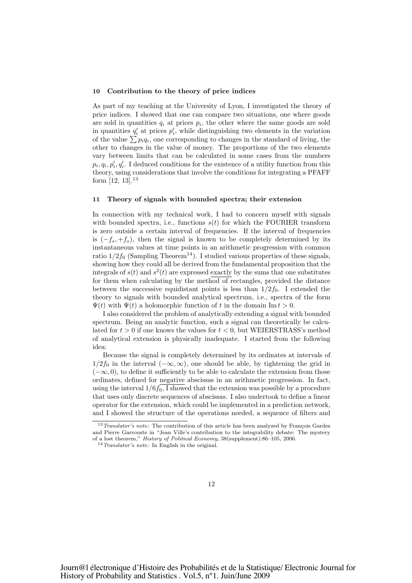### 10 Contribution to the theory of price indices

As part of my teaching at the University of Lyon, I investigated the theory of price indices. I showed that one can compare two situations, one where goods are sold in quantities  $q_i$  at prices  $p_i$ , the other where the same goods are sold in quantities  $q'_i$  at prices  $p'_i$ , while distinguishing two elements in the variation of the value  $\sum p_i q_i$ , one corresponding to changes in the standard of living, the other to changes in the value of money. The proportions of the two elements vary between limits that can be calculated in some cases from the numbers  $p_i, q_i, p'_i, q'_i$ . I deduced conditions for the existence of a utility function from this theory, using considerations that involve the conditions for integrating a PFAFF form  $[12, 13]$ .<sup>13</sup>

#### 11 Theory of signals with bounded spectra; their extension

In connection with my technical work, I had to concern myself with signals with bounded spectra, i.e., functions  $s(t)$  for which the FOURIER transform is zero outside a certain interval of frequencies. If the interval of frequencies is  $(-f_s, +f_s)$ , then the signal is known to be completely determined by its instantaneous values at time points in an arithmetic progression with common ratio  $1/2f_0$  (Sampling Theorem<sup>14</sup>). I studied various properties of these signals, showing how they could all be derived from the fundamental proposition that the integrals of  $s(t)$  and  $s^2(t)$  are expressed exactly by the sums that one substitutes for them when calculating by the method of rectangles, provided the distance between the successive equidistant points is less than  $1/2f_0$ . I extended the theory to signals with bounded analytical spectrum, i.e., spectra of the form  $\Psi(t)$  with  $\Psi(t)$  a holomorphic function of t in the domain Im  $t > 0$ .

I also considered the problem of analytically extending a signal with bounded spectrum. Being an analytic function, such a signal can theoretically be calculated for  $t > 0$  if one knows the values for  $t < 0$ , but WEIERSTRASS's method of analytical extension is physically inadequate. I started from the following idea:

Because the signal is completely determined by its ordinates at intervals of  $1/2f_0$  in the interval  $(-\infty,\infty)$ , one should be able, by tightening the grid in  $(-\infty, 0)$ , to define it sufficiently to be able to calculate the extension from those ordinates, defined for negative abscissas in an arithmetic progression. In fact, using the interval  $1/6f_0$ , I showed that the extension was possible by a procedure that uses only discrete sequences of abscissas. I also undertook to define a linear operator for the extension, which could be implemented in a prediction network, and I showed the structure of the operations needed, a sequence of filters and

 $13$  Translator's note: The contribution of this article has been analyzed by François Gardes and Pierre Garrouste in "Jean Ville's contribution to the integrability debate: The mystery of a lost theorem," History of Political Economy, 38(supplement):86–105, 2006.

 $14$  Translator's note: In English in the original.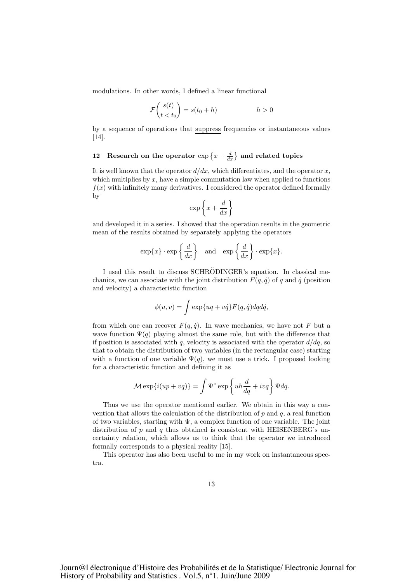modulations. In other words, I defined a linear functional

$$
\mathcal{F}\binom{s(t)}{t < t_0} = s(t_0 + h) \qquad h > 0
$$

by a sequence of operations that suppress frequencies or instantaneous values [14].

# 12 Research on the operator  $\exp\left\{x + \frac{d}{dx}\right\}$  and related topics

It is well known that the operator  $d/dx$ , which differentiates, and the operator x, which multiplies by  $x$ , have a simple commutation law when applied to functions  $f(x)$  with infinitely many derivatives. I considered the operator defined formally by

$$
\exp\left\{x+\frac{d}{dx}\right\}
$$

and developed it in a series. I showed that the operation results in the geometric mean of the results obtained by separately applying the operators

$$
\exp\{x\} \cdot \exp\left\{\frac{d}{dx}\right\}
$$
 and  $\exp\left\{\frac{d}{dx}\right\} \cdot \exp\{x\}.$ 

I used this result to discuss SCHRÖDINGER's equation. In classical mechanics, we can associate with the joint distribution  $F(q, \dot{q})$  of q and  $\dot{q}$  (position and velocity) a characteristic function

$$
\phi(u,v) = \int \exp\{uq + v\dot{q}\} F(q,\dot{q}) dq d\dot{q},
$$

from which one can recover  $F(q, \dot{q})$ . In wave mechanics, we have not F but a wave function  $\Psi(q)$  playing almost the same role, but with the difference that if position is associated with q, velocity is associated with the operator  $d/dq$ , so that to obtain the distribution of two variables (in the rectangular case) starting with a function of one variable  $\Psi(q)$ , we must use a trick. I proposed looking for a characteristic function and defining it as

$$
\mathcal{M}\exp\{i(up+vq)\} = \int \Psi^* \exp\left\{uh\frac{d}{dq} + ivq\right\}\Psi dq.
$$

Thus we use the operator mentioned earlier. We obtain in this way a convention that allows the calculation of the distribution of  $p$  and  $q$ , a real function of two variables, starting with  $\Psi$ , a complex function of one variable. The joint distribution of p and q thus obtained is consistent with HEISENBERG's uncertainty relation, which allows us to think that the operator we introduced formally corresponds to a physical reality [15].

This operator has also been useful to me in my work on instantaneous spectra.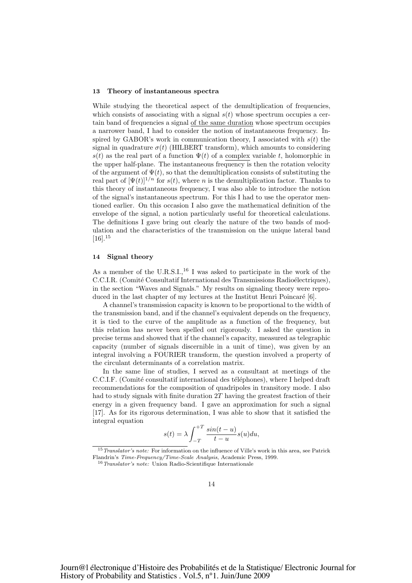### 13 Theory of instantaneous spectra

While studying the theoretical aspect of the demultiplication of frequencies, which consists of associating with a signal  $s(t)$  whose spectrum occupies a certain band of frequencies a signal of the same duration whose spectrum occupies a narrower band, I had to consider the notion of instantaneous frequency. Inspired by GABOR's work in communication theory, I associated with  $s(t)$  the signal in quadrature  $\sigma(t)$  (HILBERT transform), which amounts to considering s(t) as the real part of a function  $\Psi(t)$  of a complex variable t, holomorphic in the upper half-plane. The instantaneous frequency is then the rotation velocity of the argument of  $\Psi(t)$ , so that the demultiplication consists of substituting the real part of  $[\Psi(t)]^{1/n}$  for  $s(t)$ , where n is the demultiplication factor. Thanks to this theory of instantaneous frequency, I was also able to introduce the notion of the signal's instantaneous spectrum. For this I had to use the operator mentioned earlier. On this occasion I also gave the mathematical definition of the envelope of the signal, a notion particularly useful for theoretical calculations. The definitions I gave bring out clearly the nature of the two bands of modulation and the characteristics of the transmission on the unique lateral band  $[16]$ <sup>15</sup>

# 14 Signal theory

As a member of the U.R.S.I.,<sup>16</sup> I was asked to participate in the work of the C.C.I.R. (Comité Consultatif International des Transmissions Radioélectriques), in the section "Waves and Signals." My results on signaling theory were reproduced in the last chapter of my lectures at the Institut Henri Poincaré [6].

A channel's transmission capacity is known to be proportional to the width of the transmission band, and if the channel's equivalent depends on the frequency, it is tied to the curve of the amplitude as a function of the frequency, but this relation has never been spelled out rigorously. I asked the question in precise terms and showed that if the channel's capacity, measured as telegraphic capacity (number of signals discernible in a unit of time), was given by an integral involving a FOURIER transform, the question involved a property of the circulant determinants of a correlation matrix.

In the same line of studies, I served as a consultant at meetings of the C.C.I.F. (Comité consultatif international des téléphones), where I helped draft recommendations for the composition of quadripoles in transitory mode. I also had to study signals with finite duration 2T having the greatest fraction of their energy in a given frequency band. I gave an approximation for such a signal [17]. As for its rigorous determination, I was able to show that it satisfied the integral equation

$$
s(t) = \lambda \int_{-T}^{+T} \frac{\sin(t - u)}{t - u} s(u) du,
$$

<sup>&</sup>lt;sup>15</sup>Translator's note: For information on the influence of Ville's work in this area, see Patrick Flandrin's Time-Frequency/Time-Scale Analysis, Academic Press, 1999.

 $16$ Translator's note: Union Radio-Scientifique Internationale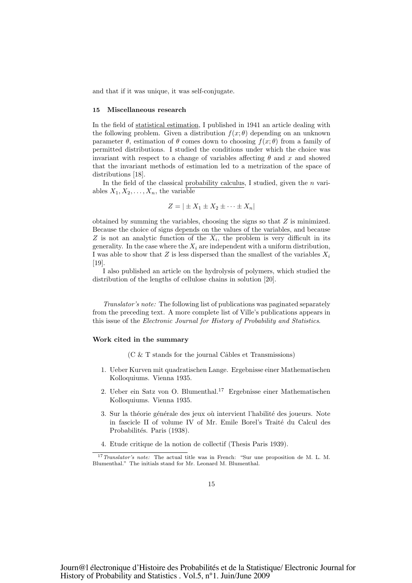and that if it was unique, it was self-conjugate.

## 15 Miscellaneous research

In the field of statistical estimation, I published in 1941 an article dealing with the following problem. Given a distribution  $f(x; \theta)$  depending on an unknown parameter  $\theta$ , estimation of  $\theta$  comes down to choosing  $f(x; \theta)$  from a family of permitted distributions. I studied the conditions under which the choice was invariant with respect to a change of variables affecting  $\theta$  and x and showed that the invariant methods of estimation led to a metrization of the space of distributions [18].

In the field of the classical probability calculus, I studied, given the  $n$  variables  $X_1, X_2, \ldots, X_n$ , the variable

$$
Z = |\pm X_1 \pm X_2 \pm \cdots \pm X_n|
$$

obtained by summing the variables, choosing the signs so that  $Z$  is minimized. Because the choice of signs depends on the values of the variables, and because Z is not an analytic function of the  $X_i$ , the problem is very difficult in its generality. In the case where the  $X_i$  are independent with a uniform distribution, I was able to show that Z is less dispersed than the smallest of the variables  $X_i$ [19].

I also published an article on the hydrolysis of polymers, which studied the distribution of the lengths of cellulose chains in solution [20].

Translator's note: The following list of publications was paginated separately from the preceding text. A more complete list of Ville's publications appears in this issue of the Electronic Journal for History of Probability and Statistics.

## Work cited in the summary

- $(C \& T \times T)$  stands for the journal Câbles et Transmissions)
- 1. Ueber Kurven mit quadratischen Lange. Ergebnisse einer Mathematischen Kolloquiums. Vienna 1935.
- 2. Ueber ein Satz von O. Blumenthal.<sup>17</sup> Ergebnisse einer Mathematischen Kolloquiums. Vienna 1935.
- 3. Sur la théorie générale des jeux où intervient l'habilité des joueurs. Note in fascicle II of volume IV of Mr. Emile Borel's Traité du Calcul des Probabilités. Paris (1938).
- 4. Etude critique de la notion de collectif (Thesis Paris 1939).

<sup>&</sup>lt;sup>17</sup>Translator's note: The actual title was in French: "Sur une proposition de M. L. M. Blumenthal." The initials stand for Mr. Leonard M. Blumenthal.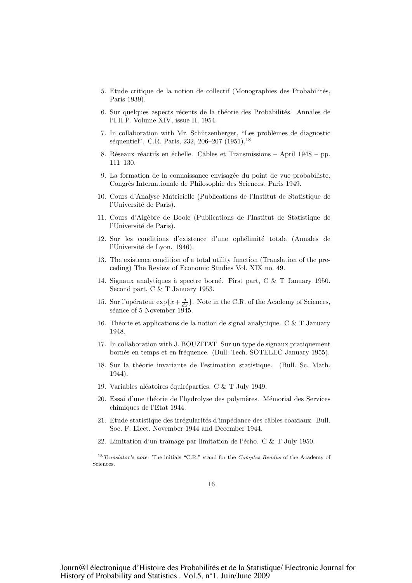- 5. Etude critique de la notion de collectif (Monographies des Probabilités, Paris 1939).
- 6. Sur quelques aspects récents de la théorie des Probabilités. Annales de l'I.H.P. Volume XIV, issue II, 1954.
- 7. In collaboration with Mr. Schützenberger, "Les problèmes de diagnostic séquentiel". C.R. Paris, 232, 206–207 (1951).<sup>18</sup>
- 8. Réseaux réactifs en échelle. Câbles et Transmissions April 1948 pp. 111–130.
- 9. La formation de la connaissance envisagée du point de vue probabiliste. Congrès Internationale de Philosophie des Sciences. Paris 1949.
- 10. Cours d'Analyse Matricielle (Publications de l'Institut de Statistique de l'Université de Paris).
- 11. Cours d'Alg`ebre de Boole (Publications de l'Institut de Statistique de l'Université de Paris).
- 12. Sur les conditions d'existence d'une ophélimité totale (Annales de l'Université de Lyon. 1946).
- 13. The existence condition of a total utility function (Translation of the preceding) The Review of Economic Studies Vol. XIX no. 49.
- 14. Signaux analytiques à spectre borné. First part, C & T January 1950. Second part, C & T January 1953.
- 15. Sur l'opérateur  $\exp\{x+\frac{d}{dx}\}\$ . Note in the C.R. of the Academy of Sciences, séance of 5 November 1945.
- 16. Théorie et applications de la notion de signal analytique. C  $&$  T January 1948.
- 17. In collaboration with J. BOUZITAT. Sur un type de signaux pratiquement bornés en temps et en fréquence. (Bull. Tech. SOTELEC January 1955).
- 18. Sur la théorie invariante de l'estimation statistique. (Bull. Sc. Math.) 1944).
- 19. Variables aléatoires équiréparties. C & T July 1949.
- 20. Essai d'une théorie de l'hydrolyse des polymères. Mémorial des Services chimiques de l'Etat 1944.
- 21. Etude statistique des irrégularités d'impédance des câbles coaxiaux. Bull. Soc. F. Elect. November 1944 and December 1944.
- 22. Limitation d'un traînage par limitation de l'écho. C & T July 1950.

<sup>&</sup>lt;sup>18</sup>Translator's note: The initials "C.R." stand for the Comptes Rendus of the Academy of Sciences.